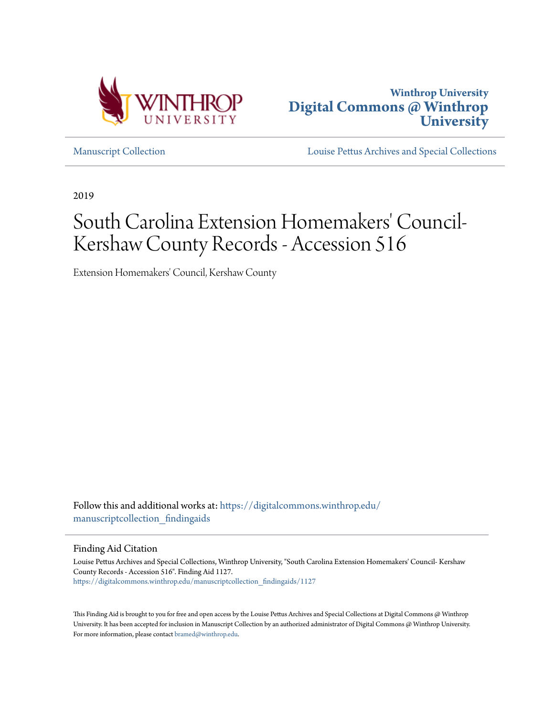



[Manuscript Collection](https://digitalcommons.winthrop.edu/manuscriptcollection_findingaids?utm_source=digitalcommons.winthrop.edu%2Fmanuscriptcollection_findingaids%2F1127&utm_medium=PDF&utm_campaign=PDFCoverPages) [Louise Pettus Archives and Special Collections](https://digitalcommons.winthrop.edu/pettus_archives?utm_source=digitalcommons.winthrop.edu%2Fmanuscriptcollection_findingaids%2F1127&utm_medium=PDF&utm_campaign=PDFCoverPages)

2019

# South Carolina Extension Homemakers' Council-Kershaw County Records - Accession 516

Extension Homemakers' Council, Kershaw County

Follow this and additional works at: [https://digitalcommons.winthrop.edu/](https://digitalcommons.winthrop.edu/manuscriptcollection_findingaids?utm_source=digitalcommons.winthrop.edu%2Fmanuscriptcollection_findingaids%2F1127&utm_medium=PDF&utm_campaign=PDFCoverPages) manuscriptcollection findingaids

Finding Aid Citation

Louise Pettus Archives and Special Collections, Winthrop University, "South Carolina Extension Homemakers' Council- Kershaw County Records - Accession 516". Finding Aid 1127. [https://digitalcommons.winthrop.edu/manuscriptcollection\\_findingaids/1127](https://digitalcommons.winthrop.edu/manuscriptcollection_findingaids/1127?utm_source=digitalcommons.winthrop.edu%2Fmanuscriptcollection_findingaids%2F1127&utm_medium=PDF&utm_campaign=PDFCoverPages)

This Finding Aid is brought to you for free and open access by the Louise Pettus Archives and Special Collections at Digital Commons @ Winthrop University. It has been accepted for inclusion in Manuscript Collection by an authorized administrator of Digital Commons @ Winthrop University. For more information, please contact [bramed@winthrop.edu.](mailto:bramed@winthrop.edu)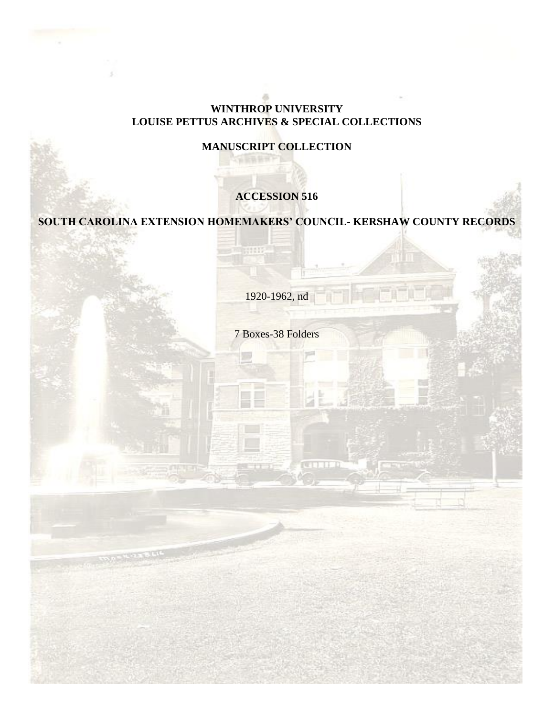#### **WINTHROP UNIVERSITY LOUISE PETTUS ARCHIVES & SPECIAL COLLECTIONS**

## **MANUSCRIPT COLLECTION**

## **ACCESSION 516**

**SOUTH CAROLINA EXTENSION HOMEMAKERS' COUNCIL- KERSHAW COUNTY RECORDS**

RINTE,

1920-1962, nd

7 Boxes-38 Folders

**CALL THE R**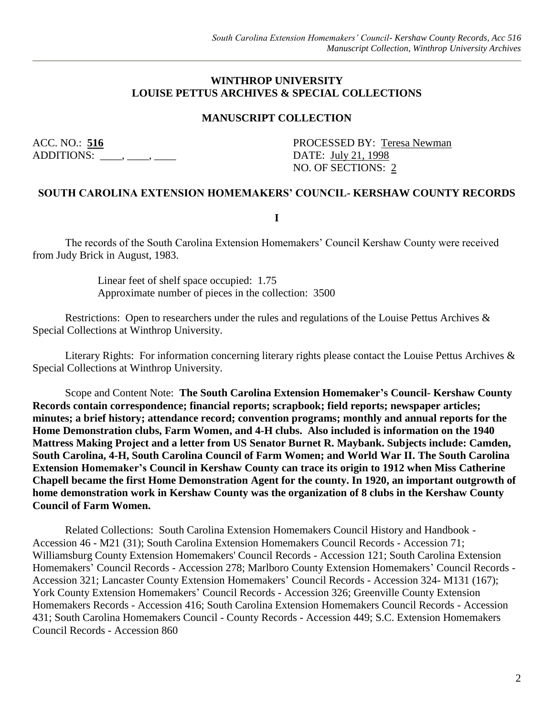#### **WINTHROP UNIVERSITY LOUISE PETTUS ARCHIVES & SPECIAL COLLECTIONS**

#### **MANUSCRIPT COLLECTION**

ADDITIONS:  $\qquad \qquad . \qquad .$ 

ACC. NO.: 516 PROCESSED BY: Teresa Newman NO. OF SECTIONS: 2

#### **SOUTH CAROLINA EXTENSION HOMEMAKERS' COUNCIL- KERSHAW COUNTY RECORDS**

**I**

The records of the South Carolina Extension Homemakers' Council Kershaw County were received from Judy Brick in August, 1983.

> Linear feet of shelf space occupied: 1.75 Approximate number of pieces in the collection: 3500

Restrictions: Open to researchers under the rules and regulations of the Louise Pettus Archives & Special Collections at Winthrop University.

Literary Rights: For information concerning literary rights please contact the Louise Pettus Archives & Special Collections at Winthrop University.

Scope and Content Note: **The South Carolina Extension Homemaker's Council- Kershaw County Records contain correspondence; financial reports; scrapbook; field reports; newspaper articles; minutes; a brief history; attendance record; convention programs; monthly and annual reports for the Home Demonstration clubs, Farm Women, and 4-H clubs. Also included is information on the 1940 Mattress Making Project and a letter from US Senator Burnet R. Maybank. Subjects include: Camden, South Carolina, 4-H, South Carolina Council of Farm Women; and World War II. The South Carolina Extension Homemaker's Council in Kershaw County can trace its origin to 1912 when Miss Catherine Chapell became the first Home Demonstration Agent for the county. In 1920, an important outgrowth of home demonstration work in Kershaw County was the organization of 8 clubs in the Kershaw County Council of Farm Women.**

Related Collections: South Carolina Extension Homemakers Council History and Handbook - Accession 46 - M21 (31); South Carolina Extension Homemakers Council Records - Accession 71; Williamsburg County Extension Homemakers' Council Records - Accession 121; South Carolina Extension Homemakers' Council Records - Accession 278; Marlboro County Extension Homemakers' Council Records - Accession 321; Lancaster County Extension Homemakers' Council Records - Accession 324- M131 (167); York County Extension Homemakers' Council Records - Accession 326; Greenville County Extension Homemakers Records - Accession 416; South Carolina Extension Homemakers Council Records - Accession 431; South Carolina Homemakers Council - County Records - Accession 449; S.C. Extension Homemakers Council Records - Accession 860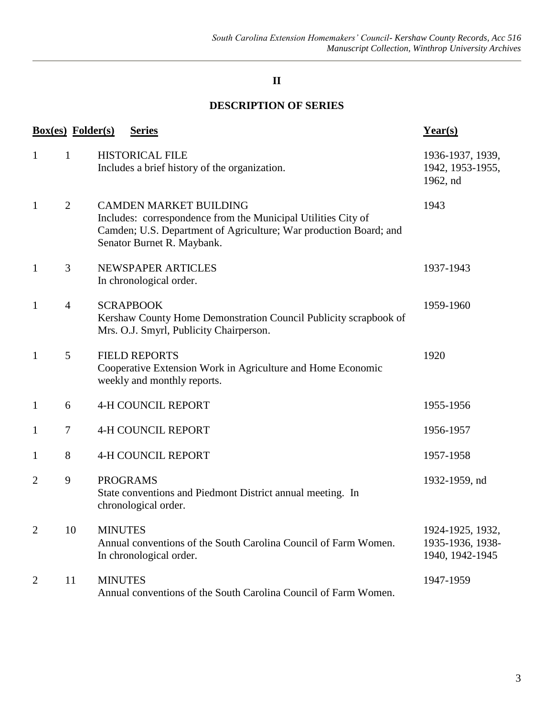## **II**

## **DESCRIPTION OF SERIES**

| <b>Box(es)</b> Folder(s) |                | <b>Series</b>                                                                                                                                                                                     | Year(s)                                                 |
|--------------------------|----------------|---------------------------------------------------------------------------------------------------------------------------------------------------------------------------------------------------|---------------------------------------------------------|
| $\mathbf{1}$             | $\mathbf{1}$   | <b>HISTORICAL FILE</b><br>Includes a brief history of the organization.                                                                                                                           | 1936-1937, 1939,<br>1942, 1953-1955,<br>1962, nd        |
| $\mathbf{1}$             | $\overline{2}$ | <b>CAMDEN MARKET BUILDING</b><br>Includes: correspondence from the Municipal Utilities City of<br>Camden; U.S. Department of Agriculture; War production Board; and<br>Senator Burnet R. Maybank. | 1943                                                    |
| $\mathbf{1}$             | 3              | NEWSPAPER ARTICLES<br>In chronological order.                                                                                                                                                     | 1937-1943                                               |
| $\mathbf{1}$             | $\overline{4}$ | <b>SCRAPBOOK</b><br>Kershaw County Home Demonstration Council Publicity scrapbook of<br>Mrs. O.J. Smyrl, Publicity Chairperson.                                                                   | 1959-1960                                               |
| $\mathbf{1}$             | 5              | <b>FIELD REPORTS</b><br>Cooperative Extension Work in Agriculture and Home Economic<br>weekly and monthly reports.                                                                                | 1920                                                    |
| $\mathbf{1}$             | 6              | <b>4-H COUNCIL REPORT</b>                                                                                                                                                                         | 1955-1956                                               |
| 1                        | $\tau$         | <b>4-H COUNCIL REPORT</b>                                                                                                                                                                         | 1956-1957                                               |
| 1                        | 8              | <b>4-H COUNCIL REPORT</b>                                                                                                                                                                         | 1957-1958                                               |
| $\overline{2}$           | 9              | <b>PROGRAMS</b><br>State conventions and Piedmont District annual meeting. In<br>chronological order.                                                                                             | 1932-1959, nd                                           |
| $\overline{2}$           | 10             | <b>MINUTES</b><br>Annual conventions of the South Carolina Council of Farm Women.<br>In chronological order.                                                                                      | 1924-1925, 1932,<br>1935-1936, 1938-<br>1940, 1942-1945 |
| $\overline{2}$           | 11             | <b>MINUTES</b><br>Annual conventions of the South Carolina Council of Farm Women.                                                                                                                 | 1947-1959                                               |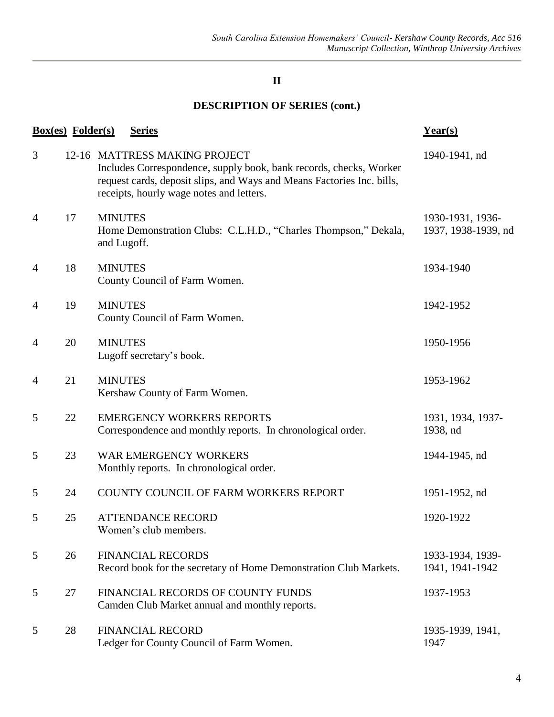## **II**

# **DESCRIPTION OF SERIES (cont.)**

| <b>Box(es)</b> Folder(s) |    |                               | <b>Series</b>                                                                                                                                                                                                             | $Year(s)$                               |
|--------------------------|----|-------------------------------|---------------------------------------------------------------------------------------------------------------------------------------------------------------------------------------------------------------------------|-----------------------------------------|
| 3                        |    |                               | 12-16 MATTRESS MAKING PROJECT<br>Includes Correspondence, supply book, bank records, checks, Worker<br>request cards, deposit slips, and Ways and Means Factories Inc. bills,<br>receipts, hourly wage notes and letters. | 1940-1941, nd                           |
| $\overline{4}$           | 17 | <b>MINUTES</b><br>and Lugoff. | Home Demonstration Clubs: C.L.H.D., "Charles Thompson," Dekala,                                                                                                                                                           | 1930-1931, 1936-<br>1937, 1938-1939, nd |
| $\overline{4}$           | 18 | <b>MINUTES</b>                | County Council of Farm Women.                                                                                                                                                                                             | 1934-1940                               |
| 4                        | 19 | <b>MINUTES</b>                | County Council of Farm Women.                                                                                                                                                                                             | 1942-1952                               |
| 4                        | 20 | <b>MINUTES</b>                | Lugoff secretary's book.                                                                                                                                                                                                  | 1950-1956                               |
| 4                        | 21 | <b>MINUTES</b>                | Kershaw County of Farm Women.                                                                                                                                                                                             | 1953-1962                               |
| 5                        | 22 |                               | <b>EMERGENCY WORKERS REPORTS</b><br>Correspondence and monthly reports. In chronological order.                                                                                                                           | 1931, 1934, 1937-<br>1938, nd           |
| 5                        | 23 |                               | <b>WAR EMERGENCY WORKERS</b><br>Monthly reports. In chronological order.                                                                                                                                                  | 1944-1945, nd                           |
| 5                        | 24 |                               | COUNTY COUNCIL OF FARM WORKERS REPORT                                                                                                                                                                                     | 1951-1952, nd                           |
| 5                        | 25 |                               | <b>ATTENDANCE RECORD</b><br>Women's club members                                                                                                                                                                          | 1920-1922                               |
| 5                        | 26 |                               | <b>FINANCIAL RECORDS</b><br>Record book for the secretary of Home Demonstration Club Markets.                                                                                                                             | 1933-1934, 1939-<br>1941, 1941-1942     |
| 5                        | 27 |                               | FINANCIAL RECORDS OF COUNTY FUNDS<br>Camden Club Market annual and monthly reports.                                                                                                                                       | 1937-1953                               |
| 5                        | 28 |                               | <b>FINANCIAL RECORD</b><br>Ledger for County Council of Farm Women.                                                                                                                                                       | 1935-1939, 1941,<br>1947                |